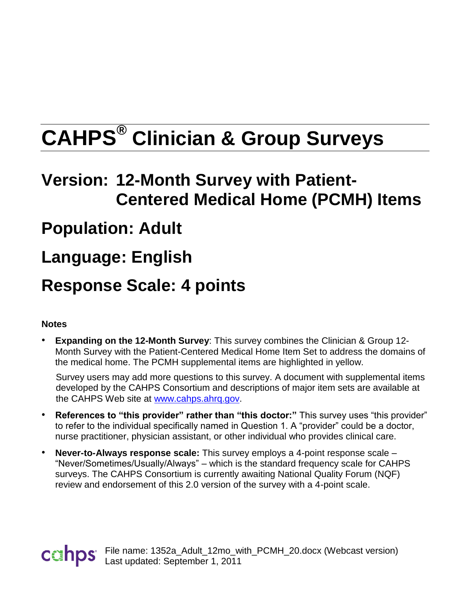# **CAHPS® Clinician & Group Surveys**

# **Version: 12-Month Survey with Patient-Centered Medical Home (PCMH) Items**

### **Population: Adult**

## **Language: English**

### **Response Scale: 4 points**

#### **Notes**

• **Expanding on the 12-Month Survey**: This *s*urvey combines the Clinician & Group 12- Month Survey with the Patient-Centered Medical Home Item Set to address the domains of the medical home. The PCMH supplemental items are highlighted in yellow.

Survey users may add more questions to this survey. A document with supplemental items developed by the CAHPS Consortium and descriptions of major item sets are available at the CAHPS Web site at [www.cahps.ahrq.gov.](http://www.cahps.ahrq.gov/)

- **References to "this provider" rather than "this doctor:"** This survey uses "this provider" to refer to the individual specifically named in Question 1. A "provider" could be a doctor, nurse practitioner, physician assistant, or other individual who provides clinical care.
- **Never-to-Always response scale:** This survey employs a 4-point response scale "Never/Sometimes/Usually/Always" – which is the standard frequency scale for CAHPS surveys. The CAHPS Consortium is currently awaiting National Quality Forum (NQF) review and endorsement of this 2.0 version of the survey with a 4-point scale.

File name: 1352a\_Adult\_12mo\_with\_PCMH\_20.docx (Webcast version) Last updated: September 1, 2011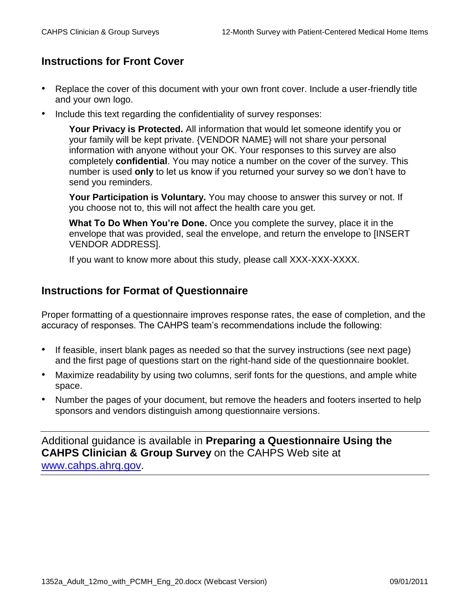#### **Instructions for Front Cover**

- Replace the cover of this document with your own front cover. Include a user-friendly title and your own logo.
- Include this text regarding the confidentiality of survey responses:

**Your Privacy is Protected.** All information that would let someone identify you or your family will be kept private. {VENDOR NAME} will not share your personal information with anyone without your OK. Your responses to this survey are also completely **confidential**. You may notice a number on the cover of the survey. This number is used **only** to let us know if you returned your survey so we don't have to send you reminders.

**Your Participation is Voluntary.** You may choose to answer this survey or not. If you choose not to, this will not affect the health care you get.

**What To Do When You're Done.** Once you complete the survey, place it in the envelope that was provided, seal the envelope, and return the envelope to [INSERT VENDOR ADDRESS].

If you want to know more about this study, please call XXX-XXX-XXXX.

#### **Instructions for Format of Questionnaire**

Proper formatting of a questionnaire improves response rates, the ease of completion, and the accuracy of responses. The CAHPS team's recommendations include the following:

- If feasible, insert blank pages as needed so that the survey instructions (see next page) and the first page of questions start on the right-hand side of the questionnaire booklet.
- Maximize readability by using two columns, serif fonts for the questions, and ample white space.
- Number the pages of your document, but remove the headers and footers inserted to help sponsors and vendors distinguish among questionnaire versions.

Additional guidance is available in **Preparing a Questionnaire Using the CAHPS Clinician & Group Survey** on the CAHPS Web site at [www.cahps.ahrq.gov.](http://www.cahps.ahrq.gov/)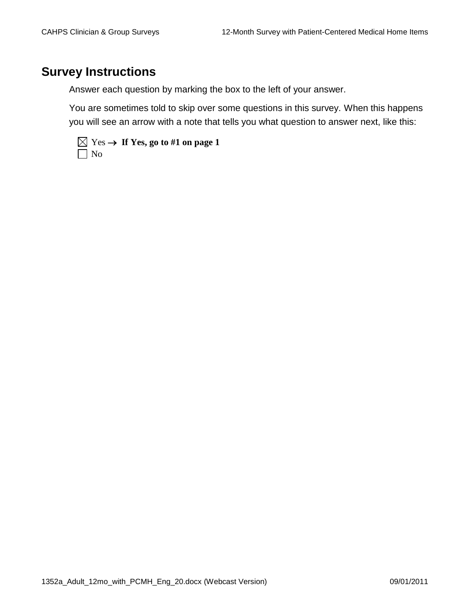#### **Survey Instructions**

Answer each question by marking the box to the left of your answer.

You are sometimes told to skip over some questions in this survey. When this happens you will see an arrow with a note that tells you what question to answer next, like this:

|           | $\overline{\boxtimes}$ Yes $\rightarrow$ If Yes, go to #1 on page 1 |
|-----------|---------------------------------------------------------------------|
| $\Box$ No |                                                                     |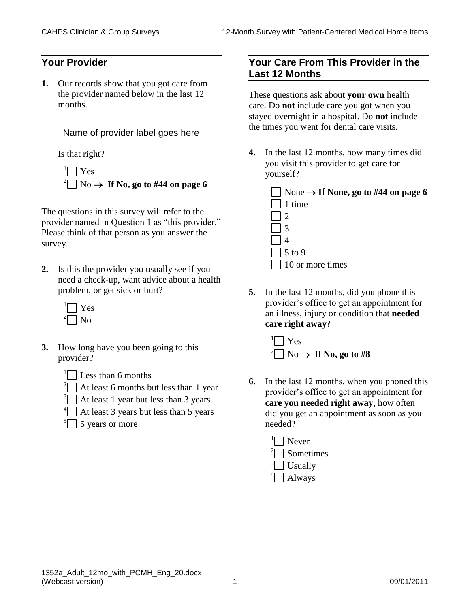#### **Your Provider**

**1.** Our records show that you got care from the provider named below in the last 12 months.

Name of provider label goes here

Is that right?

 $\Box$  Yes  $^{2}$  No  $\rightarrow$  If No, go to #44 on page 6

The questions in this survey will refer to the provider named in Question 1 as "this provider." Please think of that person as you answer the survey.

- **2.** Is this the provider you usually see if you need a check-up, want advice about a health problem, or get sick or hurt?
	- <sup>1</sup> Yes  $\Box$  No
- **3.** How long have you been going to this provider?
	- $\sqrt[1]{\hspace{1cm}}$  Less than 6 months
	- <sup>2</sup> At least 6 months but less than 1 year
	- $3$  At least 1 year but less than 3 years
	- <sup>4</sup> At least 3 years but less than 5 years
	- $5 \square$  5 years or more

#### **Your Care From This Provider in the Last 12 Months**

These questions ask about **your own** health care. Do **not** include care you got when you stayed overnight in a hospital. Do **not** include the times you went for dental care visits.

- **4.** In the last 12 months, how many times did you visit this provider to get care for yourself?
	- None  $\rightarrow$  If None, go to #44 on page 6 1 time 2 3 4  $\frac{1}{5}$  to 9 10 or more times
- **5.** In the last 12 months, did you phone this provider's office to get an appointment for an illness, injury or condition that **needed care right away**?

 $\Box$  Yes  $\sqrt[2]{\hspace{1cm}}$  No  $\rightarrow$  If No, go to #8

- **6.** In the last 12 months, when you phoned this provider's office to get an appointment for **care you needed right away**, how often did you get an appointment as soon as you needed?
	- $\sqrt[1]{\hspace{1.5cm}}$  Never  $2^2$  Sometimes  $\sqrt[3]{ }$  Usually  $\left\vert \bigcap \right.$  Always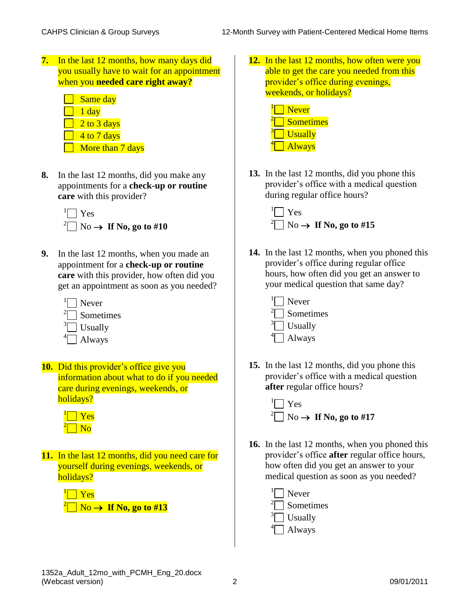**7.** In the last 12 months, how many days did you usually have to wait for an appointment when you **needed care right away?**

| Same day         |
|------------------|
| 1 day            |
| $2$ to 3 days    |
| 4 to 7 days      |
| More than 7 days |

**8.** In the last 12 months, did you make any appointments for a **check-up or routine care** with this provider?

 $\Box$  Yes  $\sqrt[2]{\hspace{1cm}}$  No  $\rightarrow$  If No, go to #10

**9.** In the last 12 months, when you made an appointment for a **check-up or routine care** with this provider, how often did you get an appointment as soon as you needed?



**10.** Did this provider's office give you information about what to do if you needed care during evenings, weekends, or holidays?

**11.** In the last 12 months, did you need care for yourself during evenings, weekends, or holidays?



**12.** In the last 12 months, how often were you able to get the care you needed from this provider's office during evenings, weekends, or holidays?



**13.** In the last 12 months, did you phone this provider's office with a medical question during regular office hours?



**14.** In the last 12 months, when you phoned this provider's office during regular office hours, how often did you get an answer to your medical question that same day?



**15.** In the last 12 months, did you phone this provider's office with a medical question **after** regular office hours?



- **16.** In the last 12 months, when you phoned this provider's office **after** regular office hours, how often did you get an answer to your medical question as soon as you needed?
	- <sup>1</sup> Never 2 Sometimes <sup>3</sup> Usually **Always**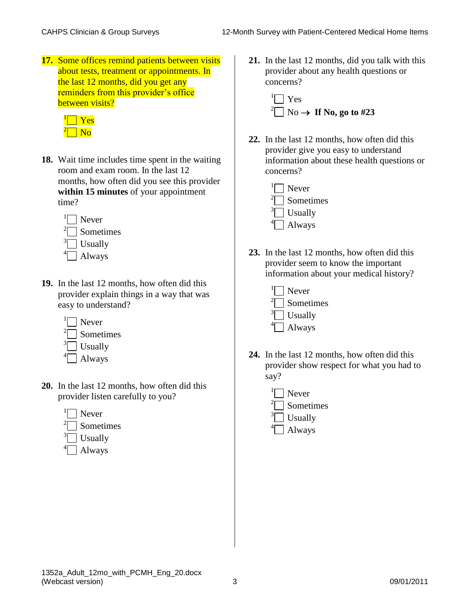**17.** Some offices remind patients between visits about tests, treatment or appointments. In the last 12 months, did you get any reminders from this provider's office between visits?



- **18.** Wait time includes time spent in the waiting room and exam room. In the last 12 months, how often did you see this provider **within 15 minutes** of your appointment time?
	- $\Box$  Never  $2\Box$  Sometimes  $\sqrt[3]{ }$  Usually  $\left\vert \Box \right\vert$  Always
- **19.** In the last 12 months, how often did this provider explain things in a way that was easy to understand?



- **20.** In the last 12 months, how often did this provider listen carefully to you?
	- $\Box$  Never
	- $2^2$  Sometimes
	- $\sqrt[3]{ }$  Usually
	- $\Box$  Always

**21.** In the last 12 months, did you talk with this provider about any health questions or concerns?



- **22.** In the last 12 months, how often did this provider give you easy to understand information about these health questions or concerns?
	- $\Box$  Never  $2^2$  Sometimes  $\sqrt[3]{ }$  Usually  $\left\vert \bigcap \right.$  Always
- **23.** In the last 12 months, how often did this provider seem to know the important information about your medical history?
	- <sup>1</sup> Never  $2^2$  Sometimes  $\int$ <sup>3</sup> $\Box$  Usually  $\left\vert \bigcap \right.$  Always
- **24.** In the last 12 months, how often did this provider show respect for what you had to say?
	- $\Box$  Never
	- $2^2$  Sometimes
	- $\sqrt[3]{ }$  Usually
	- $\left\vert \bigcap \right.$  Always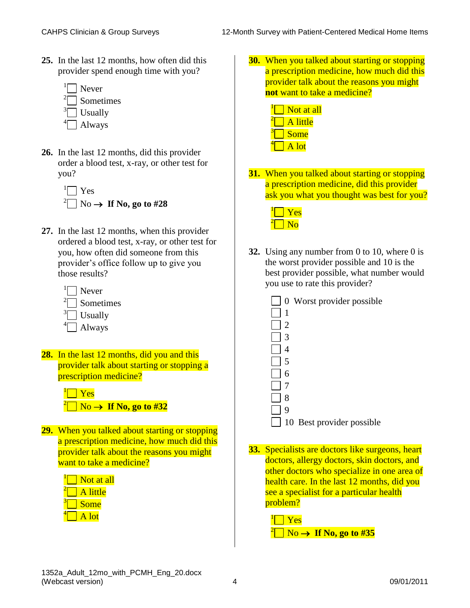**25.** In the last 12 months, how often did this provider spend enough time with you?



- **26.** In the last 12 months, did this provider order a blood test, x-ray, or other test for you?
	- $\Box$  Yes  $\sqrt[2]{\phantom{2}}$  No  $\rightarrow$  If No, go to #28
- **27.** In the last 12 months, when this provider ordered a blood test, x-ray, or other test for you, how often did someone from this provider's office follow up to give you those results?
	- <sup>1</sup> Never <sup>2</sup> Sometimes  $\frac{3}{2}$  Usually **Always**
- **28.** In the last 12 months, did you and this provider talk about starting or stopping a prescription medicine?
	- $\vert$  Yes  $\overline{\phantom{a}}$  No  $\rightarrow$  If No, go to #32
- **29.** When you talked about starting or stopping a prescription medicine, how much did this provider talk about the reasons you might want to take a medicine?

| Not at all |
|------------|
| A little   |
| Some       |
| A lot      |

- **30.** When you talked about starting or stopping a prescription medicine, how much did this provider talk about the reasons you might **not** want to take a medicine?
	- $\sqrt[1]{\hspace{1.5cm}}$  Not at all  $\Box$  A little 3  $\Box$  Some  $\overline{\phantom{a}}$  A lot
- **31.** When you talked about starting or stopping a prescription medicine, did this provider ask you what you thought was best for you?



- **32.** Using any number from 0 to 10, where 0 is the worst provider possible and 10 is the best provider possible, what number would you use to rate this provider?
	- 0 Worst provider possible
	- 1
	- 12  $\vert$  3
	- 4
	- 5
	- 6
	- 7
	- 8
		- 9
		- 10 Best provider possible
- **33.** Specialists are doctors like surgeons, heart doctors, allergy doctors, skin doctors, and other doctors who specialize in one area of health care. In the last 12 months, did you see a specialist for a particular health problem?

<sup>1</sup> Yes  $\overline{\phantom{a}}$  No  $\rightarrow$  If No, go to #35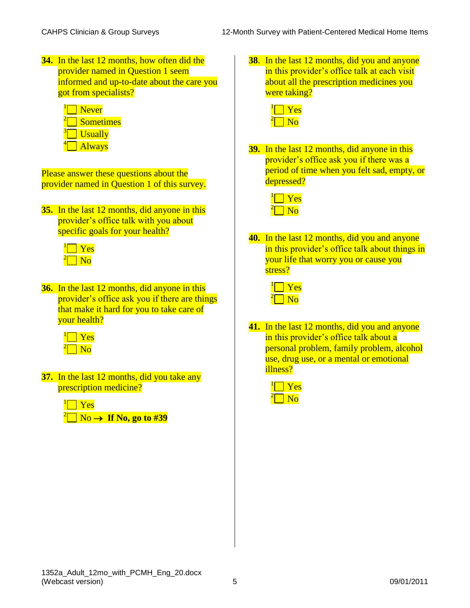- **34.** In the last 12 months, how often did the provider named in Question 1 seem informed and up-to-date about the care you got from specialists?
	- $\sqrt[1]{\hspace{1.5cm}}$  Never  $2\Box$  Sometimes  $\overline{\phantom{a}}$  Usually **Always**

Please answer these questions about the provider named in Question 1 of this survey.

**35.** In the last 12 months, did anyone in this provider's office talk with you about specific goals for your health?



**36.** In the last 12 months, did anyone in this provider's office ask you if there are things that make it hard for you to take care of your health?

**37.** In the last 12 months, did you take any prescription medicine?

| $\sqrt[1]{\bigcap \text{Yes}}$ |                                          |
|--------------------------------|------------------------------------------|
|                                | $^{2}$ No $\rightarrow$ If No, go to #39 |

**38**. In the last 12 months, did you and anyone in this provider's office talk at each visit about all the prescription medicines you were taking?

**39.** In the last 12 months, did anyone in this provider's office ask you if there was a period of time when you felt sad, empty, or depressed?



**40.** In the last 12 months, did you and anyone in this provider's office talk about things in your life that worry you or cause you stress?

**41.** In the last 12 months, did you and anyone in this provider's office talk about a personal problem, family problem, alcohol use, drug use, or a mental or emotional illness?

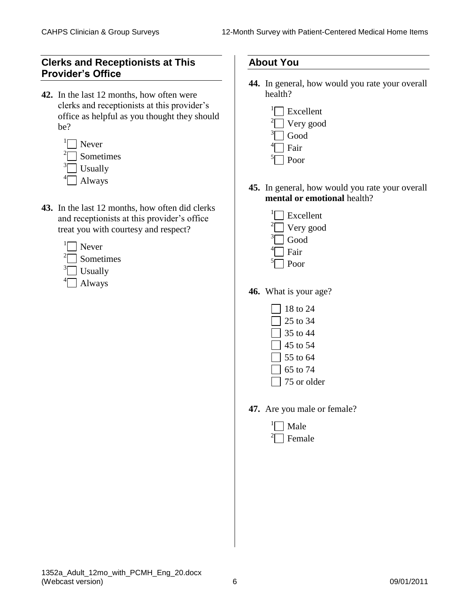#### **Clerks and Receptionists at This Provider's Office**

- **42.** In the last 12 months, how often were clerks and receptionists at this provider's office as helpful as you thought they should be?
	- $\sqrt[1]{\hspace{1.5cm}}$  Never <sup>2</sup> Sometimes  $\sqrt[3]{\phantom{a}}$  Usually  $\left\vert \right\vert$  Always
- **43.** In the last 12 months, how often did clerks and receptionists at this provider's office treat you with courtesy and respect?
	- $\sqrt[1]{\phantom{a}}$  Never
	- $2^2$  Sometimes
	- $\sqrt[3]{\phantom{a}}$  Usually
	- $\left\vert \bigcap \right.$  Always

#### **About You**

- **44.** In general, how would you rate your overall health?
	- $\sqrt[1]{\phantom{a}}$  Excellent  $\sqrt[2]{ }$  Very good  $\sqrt[3]{ }$  Good <sup>4</sup>□ Fair 5 Poor
- **45.** In general, how would you rate your overall **mental or emotional** health?
	- $\sqrt[1]{\phantom{a}}$  Excellent  $2^2$  Very good  $\sqrt[3]{\phantom{a}}$  Good <sup>4</sup>□ Fair <sup>5</sup>□ Poor
- **46.** What is your age?
	- $\sqrt{18}$  to 24 25 to 34
	- $\sqrt{35}$  to 44
	- $\sqrt{$  45 to 54
	- $\Box$  55 to 64
	- $\sqrt{5}$  to 74
	- $\sqrt{75}$  or older
- **47.** Are you male or female?
	- <sup>1</sup> Male 2 Female